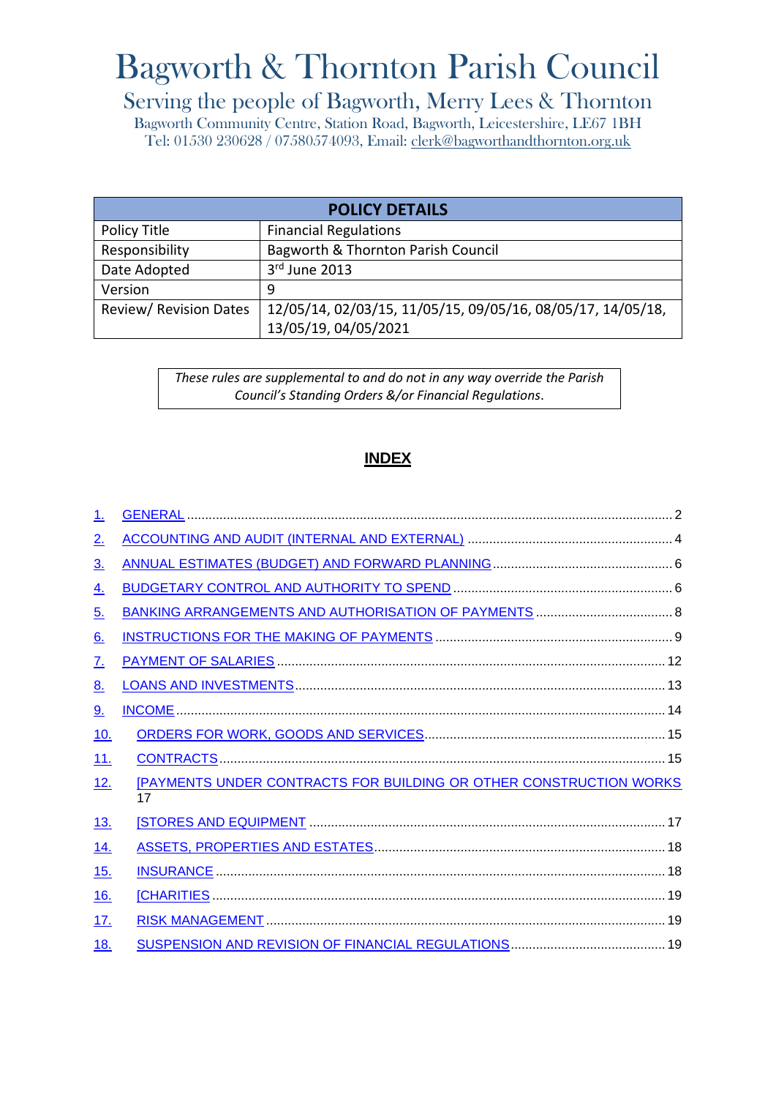# Bagworth & Thornton Parish Council

# Serving the people of Bagworth, Merry Lees & Thornton

Bagworth Community Centre, Station Road, Bagworth, Leicestershire, LE67 1BH Tel: 01530 230628 / 07580574093, Email: [clerk@bagworthandthornton.org.uk](mailto:clerk@bagworthandthornton.org.uk)

| <b>POLICY DETAILS</b>         |                                                             |  |
|-------------------------------|-------------------------------------------------------------|--|
| Policy Title                  | <b>Financial Regulations</b>                                |  |
| Responsibility                | Bagworth & Thornton Parish Council                          |  |
| Date Adopted                  | 3rd June 2013                                               |  |
| Version                       | 9                                                           |  |
| <b>Review/ Revision Dates</b> | 12/05/14, 02/03/15, 11/05/15, 09/05/16, 08/05/17, 14/05/18, |  |
|                               | 13/05/19, 04/05/2021                                        |  |

*These rules are supplemental to and do not in any way override the Parish Council's Standing Orders &/or Financial Regulations*.

# **INDEX**

| <u>1.</u>         |                                                                                 |  |
|-------------------|---------------------------------------------------------------------------------|--|
| 2 <sub>1</sub>    |                                                                                 |  |
| $\underline{3}$ . |                                                                                 |  |
| <u>4.</u>         |                                                                                 |  |
| <u>5.</u>         |                                                                                 |  |
| $\underline{6}$ . |                                                                                 |  |
| <u>Z.</u>         |                                                                                 |  |
| 8 <sub>1</sub>    |                                                                                 |  |
| <u>9.</u>         |                                                                                 |  |
| 10.               |                                                                                 |  |
| <u>11.</u>        |                                                                                 |  |
| <u>12.</u>        | <b>[PAYMENTS UNDER CONTRACTS FOR BUILDING OR OTHER CONSTRUCTION WORKS</b><br>17 |  |
| <u>13.</u>        |                                                                                 |  |
| <u>14.</u>        |                                                                                 |  |
| 15.               |                                                                                 |  |
| <u>16.</u>        |                                                                                 |  |
| <u>17.</u>        |                                                                                 |  |
| <u>18.</u>        |                                                                                 |  |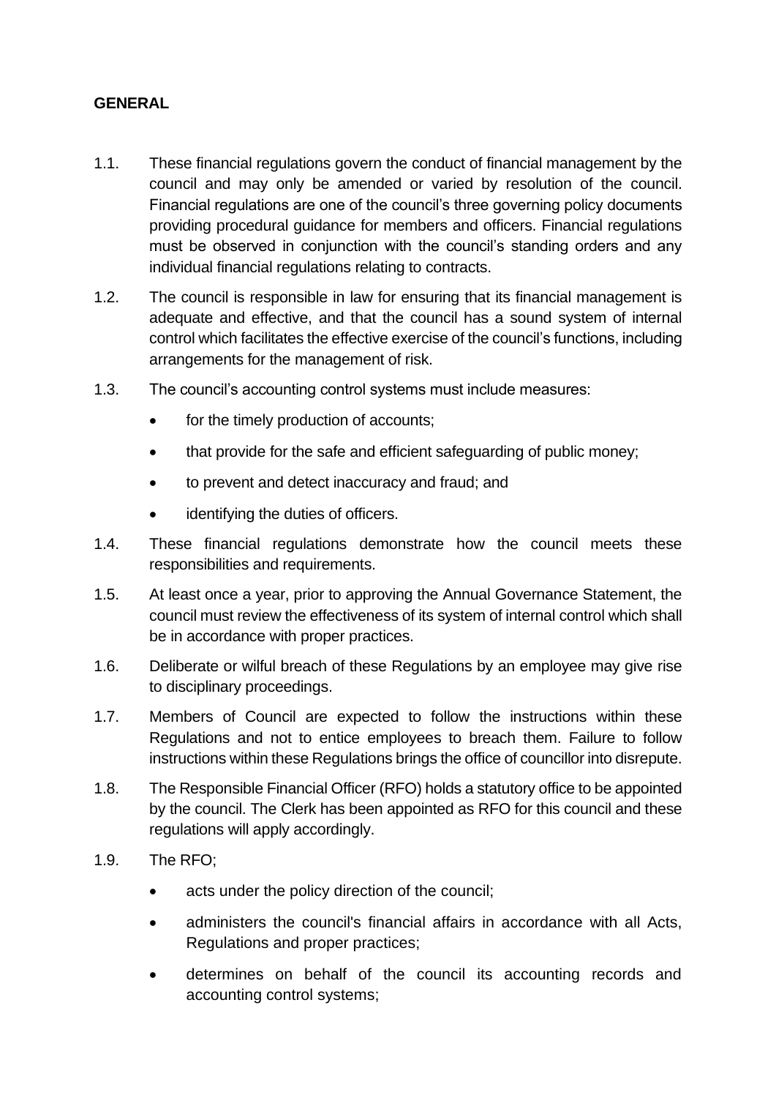#### <span id="page-1-0"></span>**GENERAL**

- 1.1. These financial regulations govern the conduct of financial management by the council and may only be amended or varied by resolution of the council. Financial regulations are one of the council's three governing policy documents providing procedural guidance for members and officers. Financial regulations must be observed in conjunction with the council's standing orders and any individual financial regulations relating to contracts.
- 1.2. The council is responsible in law for ensuring that its financial management is adequate and effective, and that the council has a sound system of internal control which facilitates the effective exercise of the council's functions, including arrangements for the management of risk.
- 1.3. The council's accounting control systems must include measures:
	- for the timely production of accounts;
	- that provide for the safe and efficient safeguarding of public money:
	- to prevent and detect inaccuracy and fraud; and
	- identifying the duties of officers.
- 1.4. These financial regulations demonstrate how the council meets these responsibilities and requirements.
- 1.5. At least once a year, prior to approving the Annual Governance Statement, the council must review the effectiveness of its system of internal control which shall be in accordance with proper practices.
- 1.6. Deliberate or wilful breach of these Regulations by an employee may give rise to disciplinary proceedings.
- 1.7. Members of Council are expected to follow the instructions within these Regulations and not to entice employees to breach them. Failure to follow instructions within these Regulations brings the office of councillor into disrepute.
- 1.8. The Responsible Financial Officer (RFO) holds a statutory office to be appointed by the council. The Clerk has been appointed as RFO for this council and these regulations will apply accordingly.
- 1.9. The RFO;
	- acts under the policy direction of the council;
	- administers the council's financial affairs in accordance with all Acts, Regulations and proper practices;
	- determines on behalf of the council its accounting records and accounting control systems;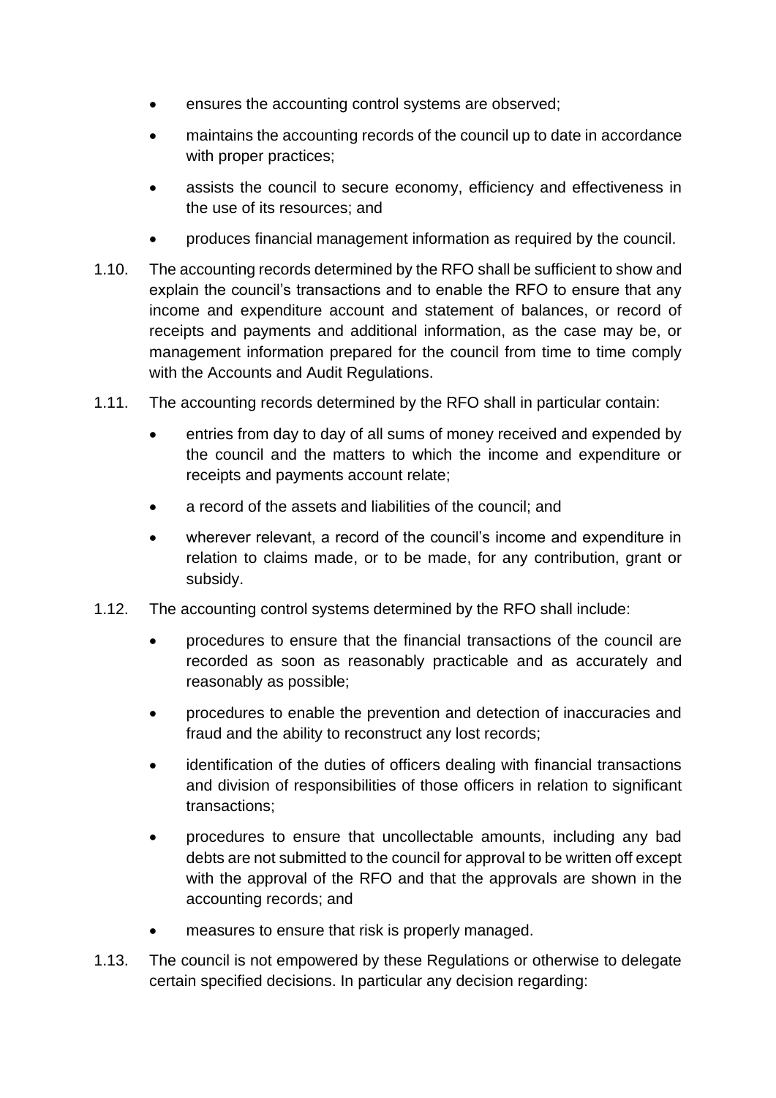- ensures the accounting control systems are observed;
- maintains the accounting records of the council up to date in accordance with proper practices;
- assists the council to secure economy, efficiency and effectiveness in the use of its resources; and
- produces financial management information as required by the council.
- 1.10. The accounting records determined by the RFO shall be sufficient to show and explain the council's transactions and to enable the RFO to ensure that any income and expenditure account and statement of balances, or record of receipts and payments and additional information, as the case may be, or management information prepared for the council from time to time comply with the Accounts and Audit Regulations.
- 1.11. The accounting records determined by the RFO shall in particular contain:
	- entries from day to day of all sums of money received and expended by the council and the matters to which the income and expenditure or receipts and payments account relate;
	- a record of the assets and liabilities of the council; and
	- wherever relevant, a record of the council's income and expenditure in relation to claims made, or to be made, for any contribution, grant or subsidy.
- 1.12. The accounting control systems determined by the RFO shall include:
	- procedures to ensure that the financial transactions of the council are recorded as soon as reasonably practicable and as accurately and reasonably as possible;
	- procedures to enable the prevention and detection of inaccuracies and fraud and the ability to reconstruct any lost records;
	- identification of the duties of officers dealing with financial transactions and division of responsibilities of those officers in relation to significant transactions;
	- procedures to ensure that uncollectable amounts, including any bad debts are not submitted to the council for approval to be written off except with the approval of the RFO and that the approvals are shown in the accounting records; and
	- measures to ensure that risk is properly managed.
- 1.13. The council is not empowered by these Regulations or otherwise to delegate certain specified decisions. In particular any decision regarding: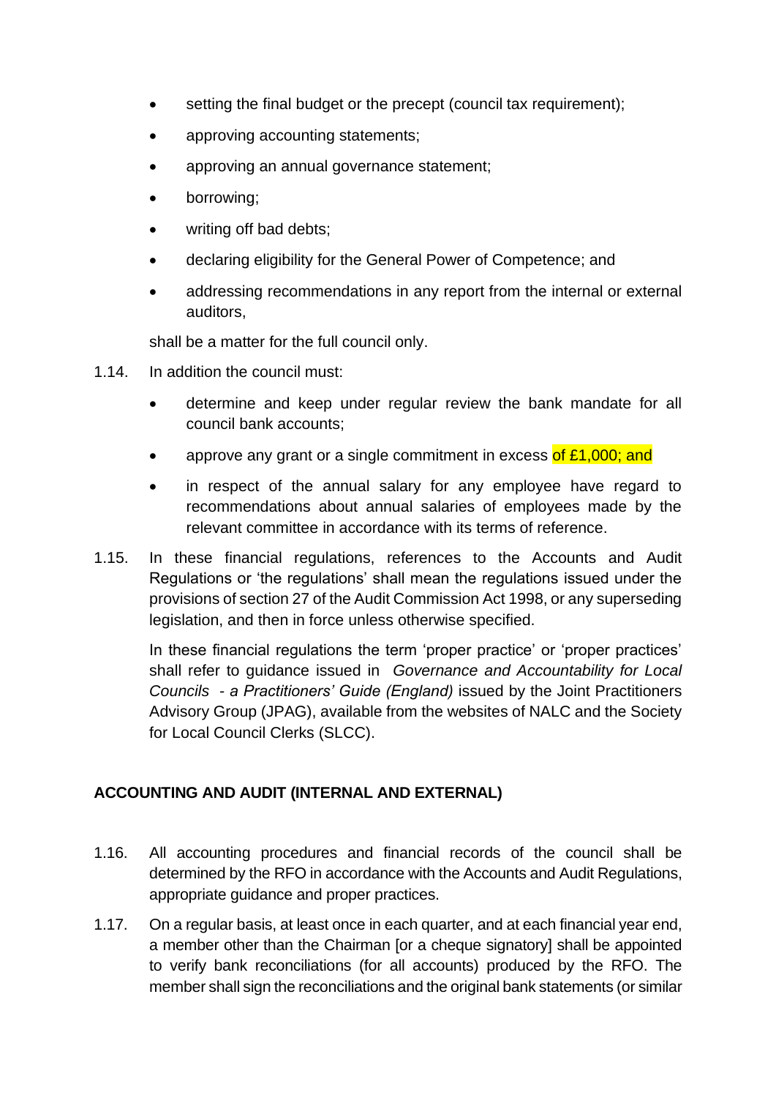- setting the final budget or the precept (council tax requirement);
- approving accounting statements;
- approving an annual governance statement;
- borrowing;
- writing off bad debts;
- declaring eligibility for the General Power of Competence; and
- addressing recommendations in any report from the internal or external auditors,

shall be a matter for the full council only.

- 1.14. In addition the council must:
	- determine and keep under regular review the bank mandate for all council bank accounts;
	- approve any grant or a single commitment in excess of £1,000; and
	- in respect of the annual salary for any employee have regard to recommendations about annual salaries of employees made by the relevant committee in accordance with its terms of reference.
- 1.15. In these financial regulations, references to the Accounts and Audit Regulations or 'the regulations' shall mean the regulations issued under the provisions of section 27 of the Audit Commission Act 1998, or any superseding legislation, and then in force unless otherwise specified.

In these financial regulations the term 'proper practice' or 'proper practices' shall refer to guidance issued in *Governance and Accountability for Local Councils - a Practitioners' Guide (England)* issued by the Joint Practitioners Advisory Group (JPAG), available from the websites of NALC and the Society for Local Council Clerks (SLCC).

#### <span id="page-3-0"></span>**ACCOUNTING AND AUDIT (INTERNAL AND EXTERNAL)**

- 1.16. All accounting procedures and financial records of the council shall be determined by the RFO in accordance with the Accounts and Audit Regulations, appropriate guidance and proper practices.
- 1.17. On a regular basis, at least once in each quarter, and at each financial year end, a member other than the Chairman [or a cheque signatory] shall be appointed to verify bank reconciliations (for all accounts) produced by the RFO. The member shall sign the reconciliations and the original bank statements (or similar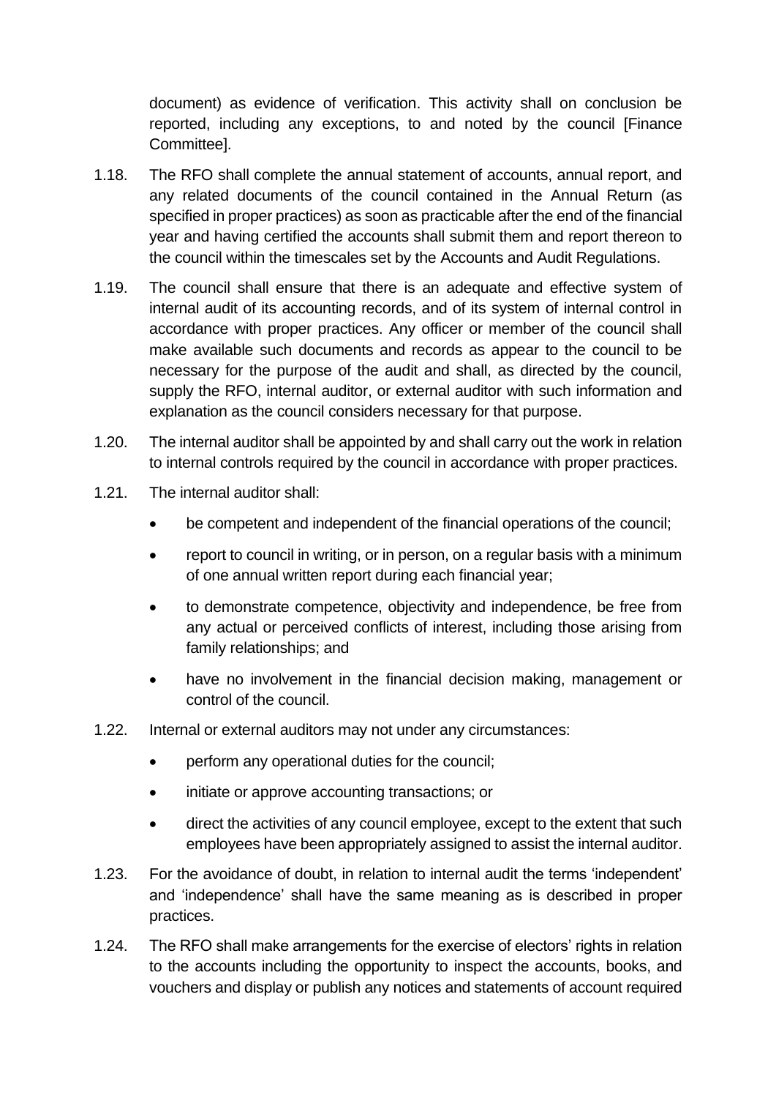document) as evidence of verification. This activity shall on conclusion be reported, including any exceptions, to and noted by the council [Finance Committee].

- 1.18. The RFO shall complete the annual statement of accounts, annual report, and any related documents of the council contained in the Annual Return (as specified in proper practices) as soon as practicable after the end of the financial year and having certified the accounts shall submit them and report thereon to the council within the timescales set by the Accounts and Audit Regulations.
- 1.19. The council shall ensure that there is an adequate and effective system of internal audit of its accounting records, and of its system of internal control in accordance with proper practices. Any officer or member of the council shall make available such documents and records as appear to the council to be necessary for the purpose of the audit and shall, as directed by the council, supply the RFO, internal auditor, or external auditor with such information and explanation as the council considers necessary for that purpose.
- 1.20. The internal auditor shall be appointed by and shall carry out the work in relation to internal controls required by the council in accordance with proper practices.
- 1.21. The internal auditor shall:
	- be competent and independent of the financial operations of the council;
	- report to council in writing, or in person, on a regular basis with a minimum of one annual written report during each financial year;
	- to demonstrate competence, objectivity and independence, be free from any actual or perceived conflicts of interest, including those arising from family relationships; and
	- have no involvement in the financial decision making, management or control of the council.
- 1.22. Internal or external auditors may not under any circumstances:
	- perform any operational duties for the council;
	- initiate or approve accounting transactions; or
	- direct the activities of any council employee, except to the extent that such employees have been appropriately assigned to assist the internal auditor.
- 1.23. For the avoidance of doubt, in relation to internal audit the terms 'independent' and 'independence' shall have the same meaning as is described in proper practices.
- 1.24. The RFO shall make arrangements for the exercise of electors' rights in relation to the accounts including the opportunity to inspect the accounts, books, and vouchers and display or publish any notices and statements of account required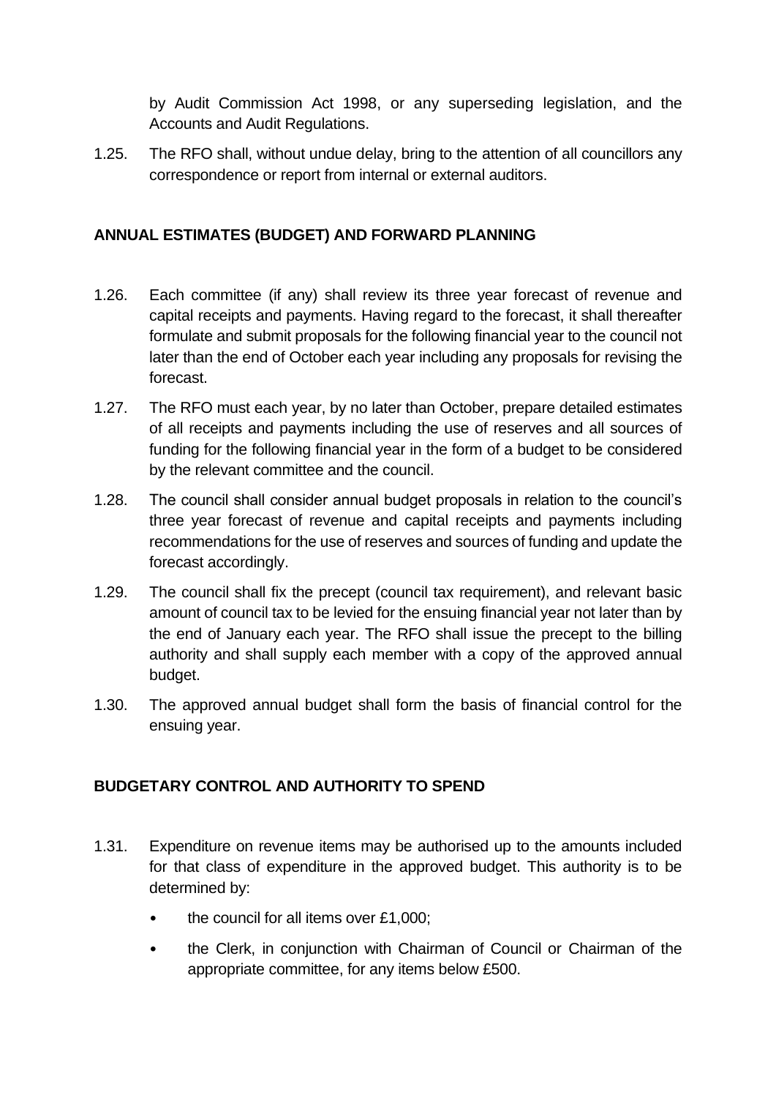by Audit Commission Act 1998, or any superseding legislation, and the Accounts and Audit Regulations.

1.25. The RFO shall, without undue delay, bring to the attention of all councillors any correspondence or report from internal or external auditors.

#### <span id="page-5-0"></span>**ANNUAL ESTIMATES (BUDGET) AND FORWARD PLANNING**

- 1.26. Each committee (if any) shall review its three year forecast of revenue and capital receipts and payments. Having regard to the forecast, it shall thereafter formulate and submit proposals for the following financial year to the council not later than the end of October each year including any proposals for revising the forecast.
- 1.27. The RFO must each year, by no later than October, prepare detailed estimates of all receipts and payments including the use of reserves and all sources of funding for the following financial year in the form of a budget to be considered by the relevant committee and the council.
- 1.28. The council shall consider annual budget proposals in relation to the council's three year forecast of revenue and capital receipts and payments including recommendations for the use of reserves and sources of funding and update the forecast accordingly.
- 1.29. The council shall fix the precept (council tax requirement), and relevant basic amount of council tax to be levied for the ensuing financial year not later than by the end of January each year. The RFO shall issue the precept to the billing authority and shall supply each member with a copy of the approved annual budget.
- 1.30. The approved annual budget shall form the basis of financial control for the ensuing year.

# <span id="page-5-1"></span>**BUDGETARY CONTROL AND AUTHORITY TO SPEND**

- 1.31. Expenditure on revenue items may be authorised up to the amounts included for that class of expenditure in the approved budget. This authority is to be determined by:
	- the council for all items over  $£1,000;$
	- the Clerk, in conjunction with Chairman of Council or Chairman of the appropriate committee, for any items below £500.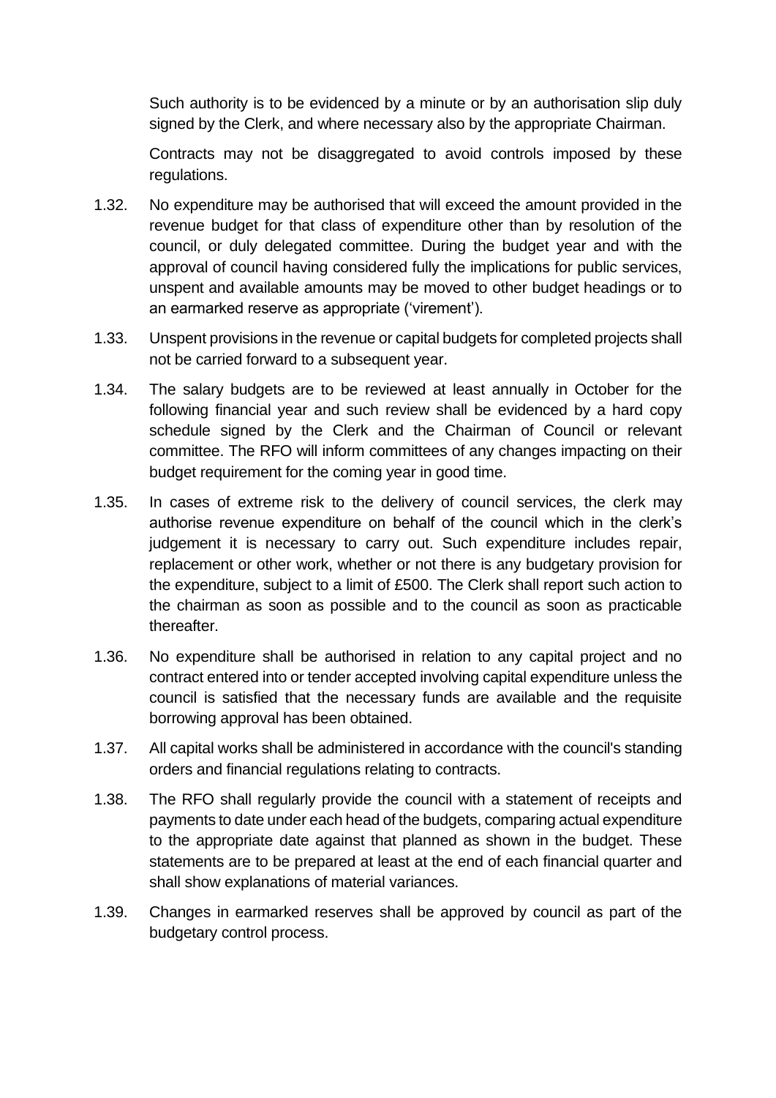Such authority is to be evidenced by a minute or by an authorisation slip duly signed by the Clerk, and where necessary also by the appropriate Chairman.

Contracts may not be disaggregated to avoid controls imposed by these regulations.

- 1.32. No expenditure may be authorised that will exceed the amount provided in the revenue budget for that class of expenditure other than by resolution of the council, or duly delegated committee. During the budget year and with the approval of council having considered fully the implications for public services, unspent and available amounts may be moved to other budget headings or to an earmarked reserve as appropriate ('virement').
- 1.33. Unspent provisions in the revenue or capital budgets for completed projects shall not be carried forward to a subsequent year.
- 1.34. The salary budgets are to be reviewed at least annually in October for the following financial year and such review shall be evidenced by a hard copy schedule signed by the Clerk and the Chairman of Council or relevant committee. The RFO will inform committees of any changes impacting on their budget requirement for the coming year in good time.
- 1.35. In cases of extreme risk to the delivery of council services, the clerk may authorise revenue expenditure on behalf of the council which in the clerk's judgement it is necessary to carry out. Such expenditure includes repair, replacement or other work, whether or not there is any budgetary provision for the expenditure, subject to a limit of £500. The Clerk shall report such action to the chairman as soon as possible and to the council as soon as practicable thereafter.
- 1.36. No expenditure shall be authorised in relation to any capital project and no contract entered into or tender accepted involving capital expenditure unless the council is satisfied that the necessary funds are available and the requisite borrowing approval has been obtained.
- 1.37. All capital works shall be administered in accordance with the council's standing orders and financial regulations relating to contracts.
- 1.38. The RFO shall regularly provide the council with a statement of receipts and payments to date under each head of the budgets, comparing actual expenditure to the appropriate date against that planned as shown in the budget. These statements are to be prepared at least at the end of each financial quarter and shall show explanations of material variances.
- 1.39. Changes in earmarked reserves shall be approved by council as part of the budgetary control process.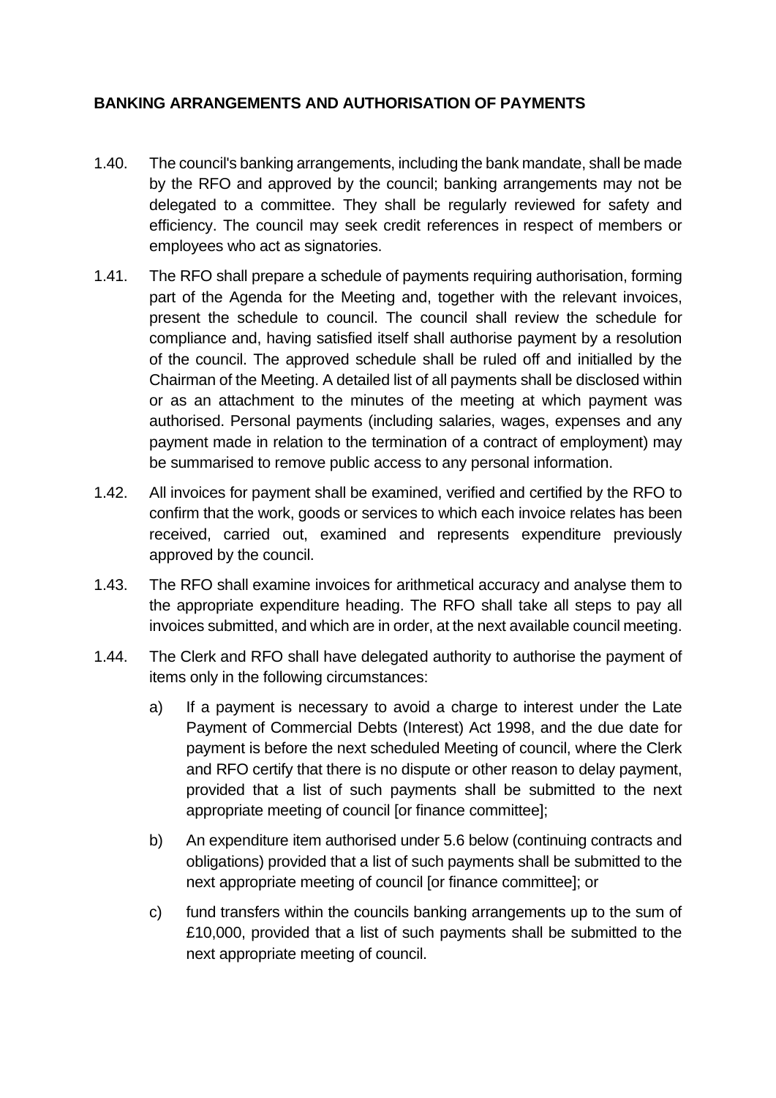#### <span id="page-7-0"></span>**BANKING ARRANGEMENTS AND AUTHORISATION OF PAYMENTS**

- 1.40. The council's banking arrangements, including the bank mandate, shall be made by the RFO and approved by the council; banking arrangements may not be delegated to a committee. They shall be regularly reviewed for safety and efficiency. The council may seek credit references in respect of members or employees who act as signatories.
- 1.41. The RFO shall prepare a schedule of payments requiring authorisation, forming part of the Agenda for the Meeting and, together with the relevant invoices, present the schedule to council. The council shall review the schedule for compliance and, having satisfied itself shall authorise payment by a resolution of the council. The approved schedule shall be ruled off and initialled by the Chairman of the Meeting. A detailed list of all payments shall be disclosed within or as an attachment to the minutes of the meeting at which payment was authorised. Personal payments (including salaries, wages, expenses and any payment made in relation to the termination of a contract of employment) may be summarised to remove public access to any personal information.
- 1.42. All invoices for payment shall be examined, verified and certified by the RFO to confirm that the work, goods or services to which each invoice relates has been received, carried out, examined and represents expenditure previously approved by the council.
- 1.43. The RFO shall examine invoices for arithmetical accuracy and analyse them to the appropriate expenditure heading. The RFO shall take all steps to pay all invoices submitted, and which are in order, at the next available council meeting.
- 1.44. The Clerk and RFO shall have delegated authority to authorise the payment of items only in the following circumstances:
	- a) If a payment is necessary to avoid a charge to interest under the Late Payment of Commercial Debts (Interest) Act 1998, and the due date for payment is before the next scheduled Meeting of council, where the Clerk and RFO certify that there is no dispute or other reason to delay payment, provided that a list of such payments shall be submitted to the next appropriate meeting of council [or finance committee];
	- b) An expenditure item authorised under 5.6 below (continuing contracts and obligations) provided that a list of such payments shall be submitted to the next appropriate meeting of council [or finance committee]; or
	- c) fund transfers within the councils banking arrangements up to the sum of £10,000, provided that a list of such payments shall be submitted to the next appropriate meeting of council.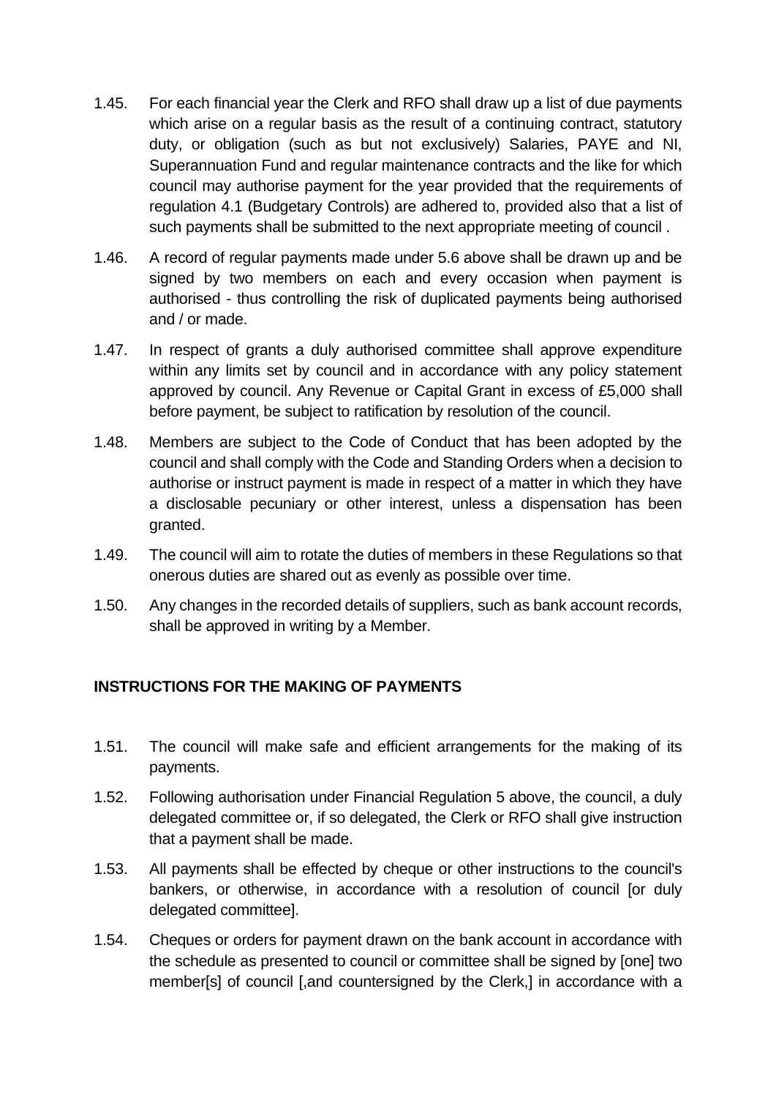- 1.45. For each financial year the Clerk and RFO shall draw up a list of due payments which arise on a regular basis as the result of a continuing contract, statutory duty, or obligation (such as but not exclusively) Salaries, PAYE and NI, Superannuation Fund and regular maintenance contracts and the like for which council may authorise payment for the year provided that the requirements of regulation 4.1 (Budgetary Controls) are adhered to, provided also that a list of such payments shall be submitted to the next appropriate meeting of council .
- 1.46. A record of regular payments made under 5.6 above shall be drawn up and be signed by two members on each and every occasion when payment is authorised - thus controlling the risk of duplicated payments being authorised and / or made.
- 1.47. In respect of grants a duly authorised committee shall approve expenditure within any limits set by council and in accordance with any policy statement approved by council. Any Revenue or Capital Grant in excess of £5,000 shall before payment, be subject to ratification by resolution of the council.
- 1.48. Members are subject to the Code of Conduct that has been adopted by the council and shall comply with the Code and Standing Orders when a decision to authorise or instruct payment is made in respect of a matter in which they have a disclosable pecuniary or other interest, unless a dispensation has been granted.
- 1.49. The council will aim to rotate the duties of members in these Regulations so that onerous duties are shared out as evenly as possible over time.
- 1.50. Any changes in the recorded details of suppliers, such as bank account records, shall be approved in writing by a Member.

#### <span id="page-8-0"></span>**INSTRUCTIONS FOR THE MAKING OF PAYMENTS**

- 1.51. The council will make safe and efficient arrangements for the making of its payments.
- 1.52. Following authorisation under Financial Regulation 5 above, the council, a duly delegated committee or, if so delegated, the Clerk or RFO shall give instruction that a payment shall be made.
- 1.53. All payments shall be effected by cheque or other instructions to the council's bankers, or otherwise, in accordance with a resolution of council [or duly delegated committee].
- 1.54. Cheques or orders for payment drawn on the bank account in accordance with the schedule as presented to council or committee shall be signed by [one] two member[s] of council [,and countersigned by the Clerk,] in accordance with a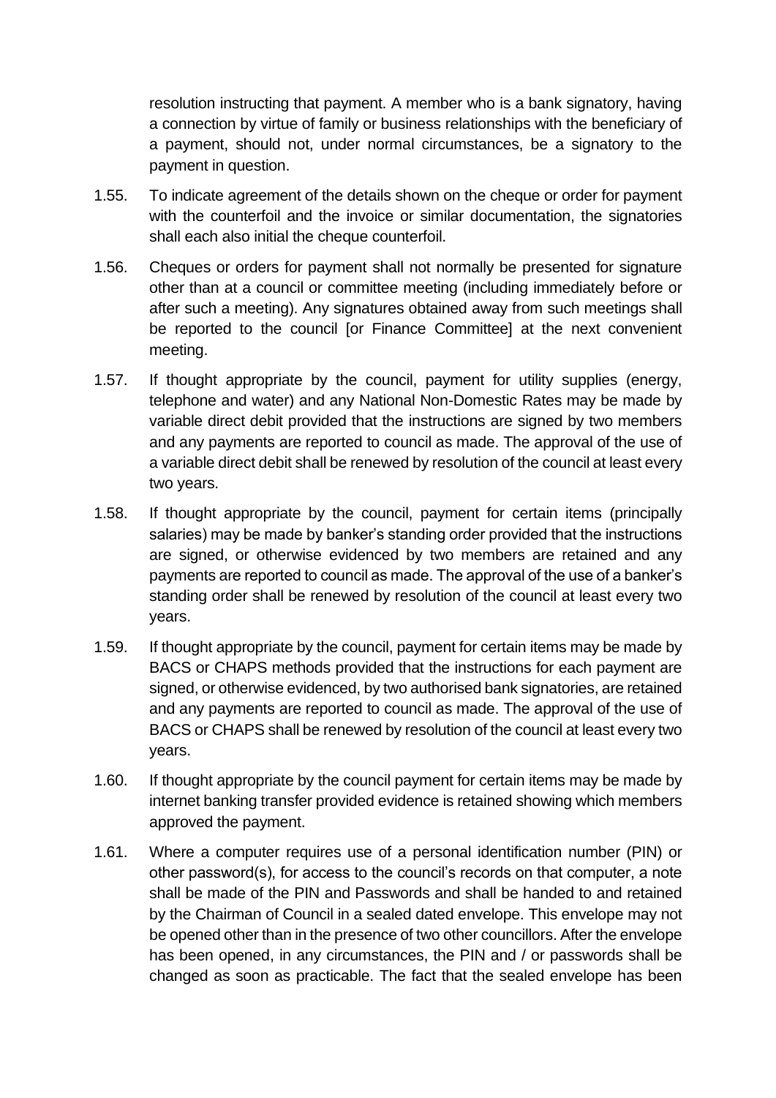resolution instructing that payment. A member who is a bank signatory, having a connection by virtue of family or business relationships with the beneficiary of a payment, should not, under normal circumstances, be a signatory to the payment in question.

- 1.55. To indicate agreement of the details shown on the cheque or order for payment with the counterfoil and the invoice or similar documentation, the signatories shall each also initial the cheque counterfoil.
- 1.56. Cheques or orders for payment shall not normally be presented for signature other than at a council or committee meeting (including immediately before or after such a meeting). Any signatures obtained away from such meetings shall be reported to the council [or Finance Committee] at the next convenient meeting.
- 1.57. If thought appropriate by the council, payment for utility supplies (energy, telephone and water) and any National Non-Domestic Rates may be made by variable direct debit provided that the instructions are signed by two members and any payments are reported to council as made. The approval of the use of a variable direct debit shall be renewed by resolution of the council at least every two years.
- 1.58. If thought appropriate by the council, payment for certain items (principally salaries) may be made by banker's standing order provided that the instructions are signed, or otherwise evidenced by two members are retained and any payments are reported to council as made. The approval of the use of a banker's standing order shall be renewed by resolution of the council at least every two years.
- 1.59. If thought appropriate by the council, payment for certain items may be made by BACS or CHAPS methods provided that the instructions for each payment are signed, or otherwise evidenced, by two authorised bank signatories, are retained and any payments are reported to council as made. The approval of the use of BACS or CHAPS shall be renewed by resolution of the council at least every two years.
- 1.60. If thought appropriate by the council payment for certain items may be made by internet banking transfer provided evidence is retained showing which members approved the payment.
- 1.61. Where a computer requires use of a personal identification number (PIN) or other password(s), for access to the council's records on that computer, a note shall be made of the PIN and Passwords and shall be handed to and retained by the Chairman of Council in a sealed dated envelope. This envelope may not be opened other than in the presence of two other councillors. After the envelope has been opened, in any circumstances, the PIN and / or passwords shall be changed as soon as practicable. The fact that the sealed envelope has been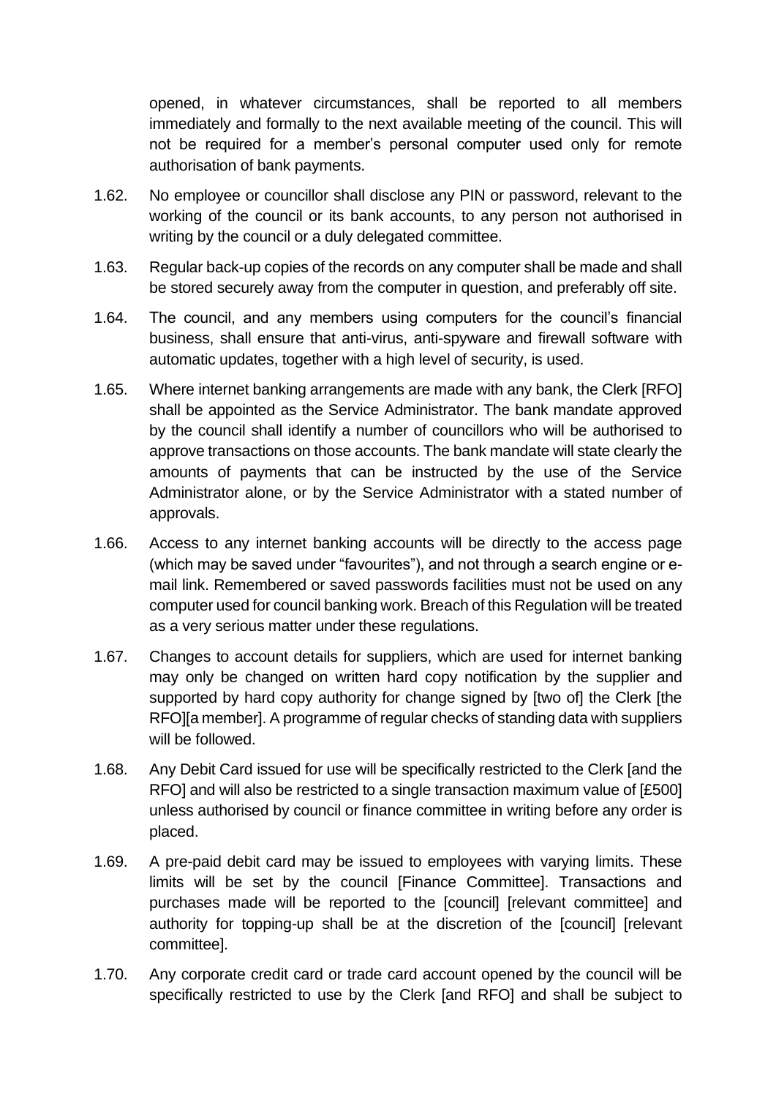opened, in whatever circumstances, shall be reported to all members immediately and formally to the next available meeting of the council. This will not be required for a member's personal computer used only for remote authorisation of bank payments.

- 1.62. No employee or councillor shall disclose any PIN or password, relevant to the working of the council or its bank accounts, to any person not authorised in writing by the council or a duly delegated committee.
- 1.63. Regular back-up copies of the records on any computer shall be made and shall be stored securely away from the computer in question, and preferably off site.
- 1.64. The council, and any members using computers for the council's financial business, shall ensure that anti-virus, anti-spyware and firewall software with automatic updates, together with a high level of security, is used.
- 1.65. Where internet banking arrangements are made with any bank, the Clerk [RFO] shall be appointed as the Service Administrator. The bank mandate approved by the council shall identify a number of councillors who will be authorised to approve transactions on those accounts. The bank mandate will state clearly the amounts of payments that can be instructed by the use of the Service Administrator alone, or by the Service Administrator with a stated number of approvals.
- 1.66. Access to any internet banking accounts will be directly to the access page (which may be saved under "favourites"), and not through a search engine or email link. Remembered or saved passwords facilities must not be used on any computer used for council banking work. Breach of this Regulation will be treated as a very serious matter under these regulations.
- 1.67. Changes to account details for suppliers, which are used for internet banking may only be changed on written hard copy notification by the supplier and supported by hard copy authority for change signed by [two of] the Clerk [the RFO][a member]. A programme of regular checks of standing data with suppliers will be followed.
- 1.68. Any Debit Card issued for use will be specifically restricted to the Clerk [and the RFO] and will also be restricted to a single transaction maximum value of [£500] unless authorised by council or finance committee in writing before any order is placed.
- 1.69. A pre-paid debit card may be issued to employees with varying limits. These limits will be set by the council [Finance Committee]. Transactions and purchases made will be reported to the [council] [relevant committee] and authority for topping-up shall be at the discretion of the [council] [relevant committee].
- 1.70. Any corporate credit card or trade card account opened by the council will be specifically restricted to use by the Clerk [and RFO] and shall be subject to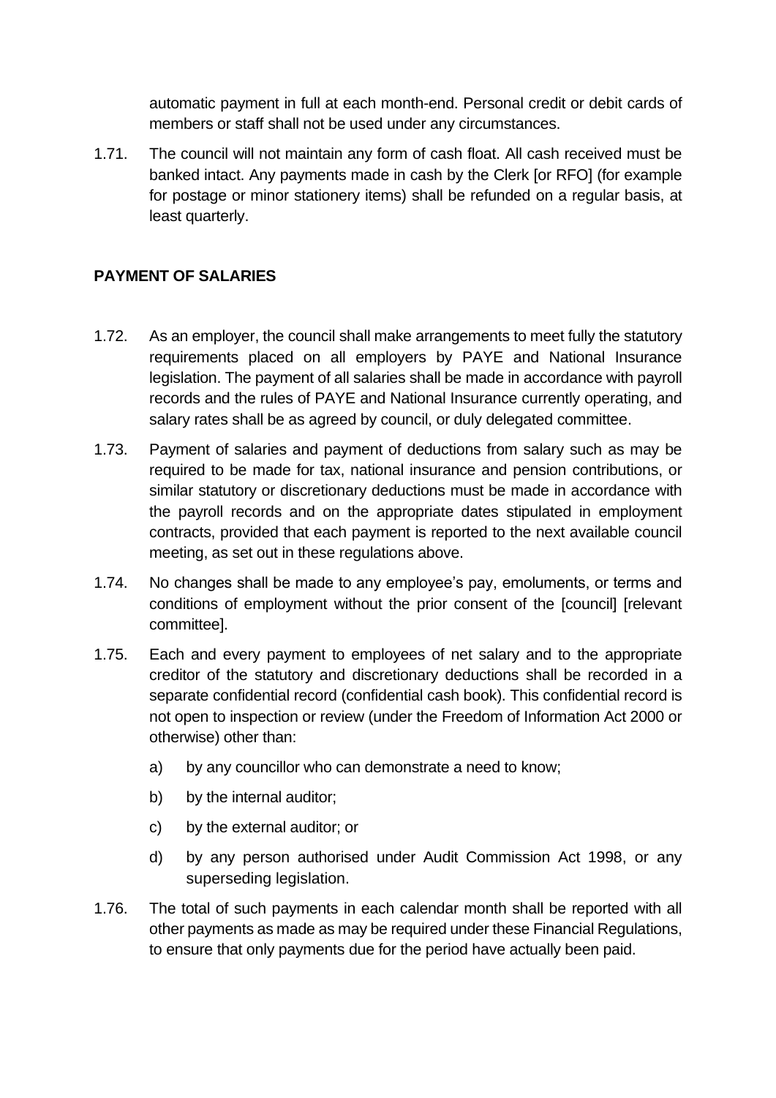automatic payment in full at each month-end. Personal credit or debit cards of members or staff shall not be used under any circumstances.

1.71. The council will not maintain any form of cash float. All cash received must be banked intact. Any payments made in cash by the Clerk [or RFO] (for example for postage or minor stationery items) shall be refunded on a regular basis, at least quarterly.

# <span id="page-11-0"></span>**PAYMENT OF SALARIES**

- 1.72. As an employer, the council shall make arrangements to meet fully the statutory requirements placed on all employers by PAYE and National Insurance legislation. The payment of all salaries shall be made in accordance with payroll records and the rules of PAYE and National Insurance currently operating, and salary rates shall be as agreed by council, or duly delegated committee.
- 1.73. Payment of salaries and payment of deductions from salary such as may be required to be made for tax, national insurance and pension contributions, or similar statutory or discretionary deductions must be made in accordance with the payroll records and on the appropriate dates stipulated in employment contracts, provided that each payment is reported to the next available council meeting, as set out in these regulations above.
- 1.74. No changes shall be made to any employee's pay, emoluments, or terms and conditions of employment without the prior consent of the [council] [relevant committee].
- 1.75. Each and every payment to employees of net salary and to the appropriate creditor of the statutory and discretionary deductions shall be recorded in a separate confidential record (confidential cash book). This confidential record is not open to inspection or review (under the Freedom of Information Act 2000 or otherwise) other than:
	- a) by any councillor who can demonstrate a need to know;
	- b) by the internal auditor;
	- c) by the external auditor; or
	- d) by any person authorised under Audit Commission Act 1998, or any superseding legislation.
- 1.76. The total of such payments in each calendar month shall be reported with all other payments as made as may be required under these Financial Regulations, to ensure that only payments due for the period have actually been paid.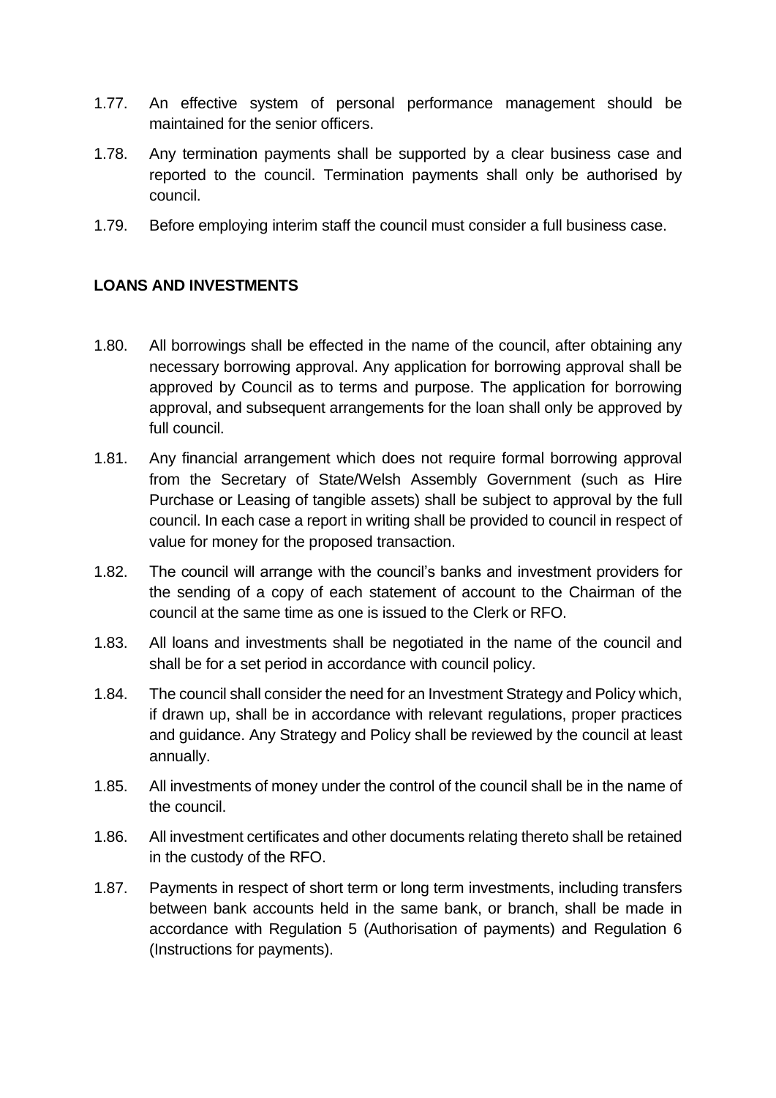- 1.77. An effective system of personal performance management should be maintained for the senior officers.
- 1.78. Any termination payments shall be supported by a clear business case and reported to the council. Termination payments shall only be authorised by council.
- 1.79. Before employing interim staff the council must consider a full business case.

#### <span id="page-12-0"></span>**LOANS AND INVESTMENTS**

- 1.80. All borrowings shall be effected in the name of the council, after obtaining any necessary borrowing approval. Any application for borrowing approval shall be approved by Council as to terms and purpose. The application for borrowing approval, and subsequent arrangements for the loan shall only be approved by full council.
- 1.81. Any financial arrangement which does not require formal borrowing approval from the Secretary of State/Welsh Assembly Government (such as Hire Purchase or Leasing of tangible assets) shall be subject to approval by the full council. In each case a report in writing shall be provided to council in respect of value for money for the proposed transaction.
- 1.82. The council will arrange with the council's banks and investment providers for the sending of a copy of each statement of account to the Chairman of the council at the same time as one is issued to the Clerk or RFO.
- 1.83. All loans and investments shall be negotiated in the name of the council and shall be for a set period in accordance with council policy.
- 1.84. The council shall consider the need for an Investment Strategy and Policy which, if drawn up, shall be in accordance with relevant regulations, proper practices and guidance. Any Strategy and Policy shall be reviewed by the council at least annually.
- 1.85. All investments of money under the control of the council shall be in the name of the council.
- 1.86. All investment certificates and other documents relating thereto shall be retained in the custody of the RFO.
- 1.87. Payments in respect of short term or long term investments, including transfers between bank accounts held in the same bank, or branch, shall be made in accordance with Regulation 5 (Authorisation of payments) and Regulation 6 (Instructions for payments).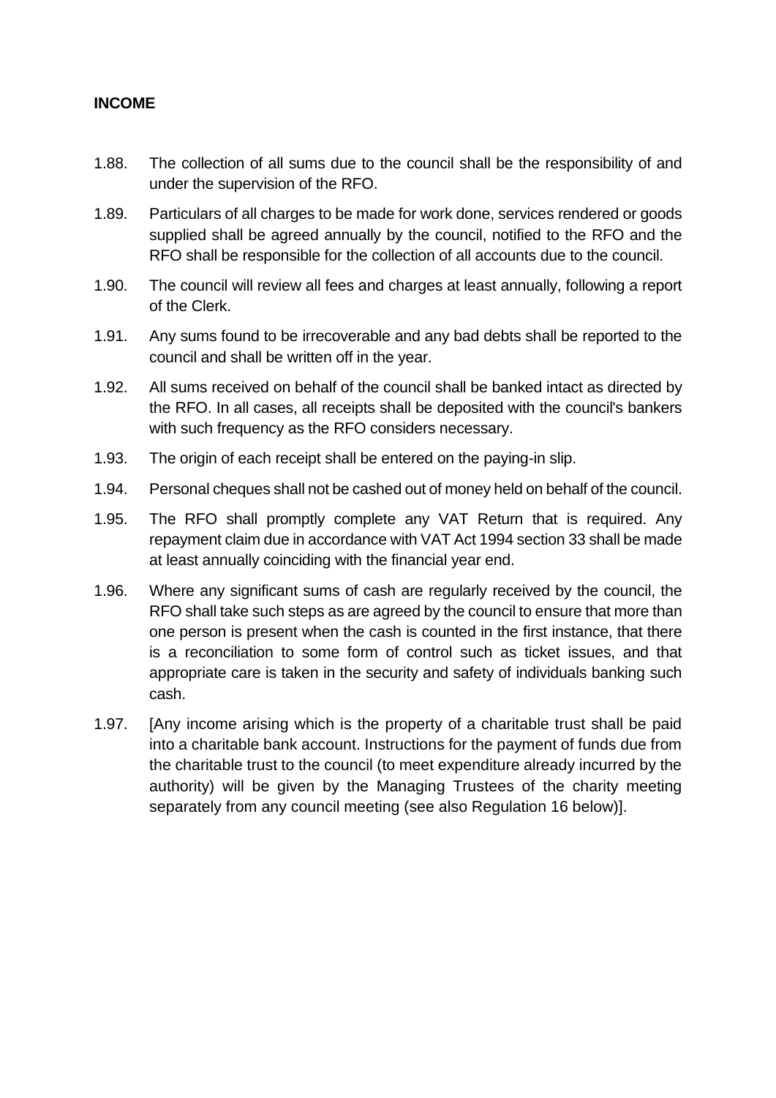#### <span id="page-13-0"></span>**INCOME**

- 1.88. The collection of all sums due to the council shall be the responsibility of and under the supervision of the RFO.
- 1.89. Particulars of all charges to be made for work done, services rendered or goods supplied shall be agreed annually by the council, notified to the RFO and the RFO shall be responsible for the collection of all accounts due to the council.
- 1.90. The council will review all fees and charges at least annually, following a report of the Clerk.
- 1.91. Any sums found to be irrecoverable and any bad debts shall be reported to the council and shall be written off in the year.
- 1.92. All sums received on behalf of the council shall be banked intact as directed by the RFO. In all cases, all receipts shall be deposited with the council's bankers with such frequency as the RFO considers necessary.
- 1.93. The origin of each receipt shall be entered on the paying-in slip.
- 1.94. Personal cheques shall not be cashed out of money held on behalf of the council.
- 1.95. The RFO shall promptly complete any VAT Return that is required. Any repayment claim due in accordance with VAT Act 1994 section 33 shall be made at least annually coinciding with the financial year end.
- 1.96. Where any significant sums of cash are regularly received by the council, the RFO shall take such steps as are agreed by the council to ensure that more than one person is present when the cash is counted in the first instance, that there is a reconciliation to some form of control such as ticket issues, and that appropriate care is taken in the security and safety of individuals banking such cash.
- 1.97. [Any income arising which is the property of a charitable trust shall be paid into a charitable bank account. Instructions for the payment of funds due from the charitable trust to the council (to meet expenditure already incurred by the authority) will be given by the Managing Trustees of the charity meeting separately from any council meeting (see also Regulation 16 below)].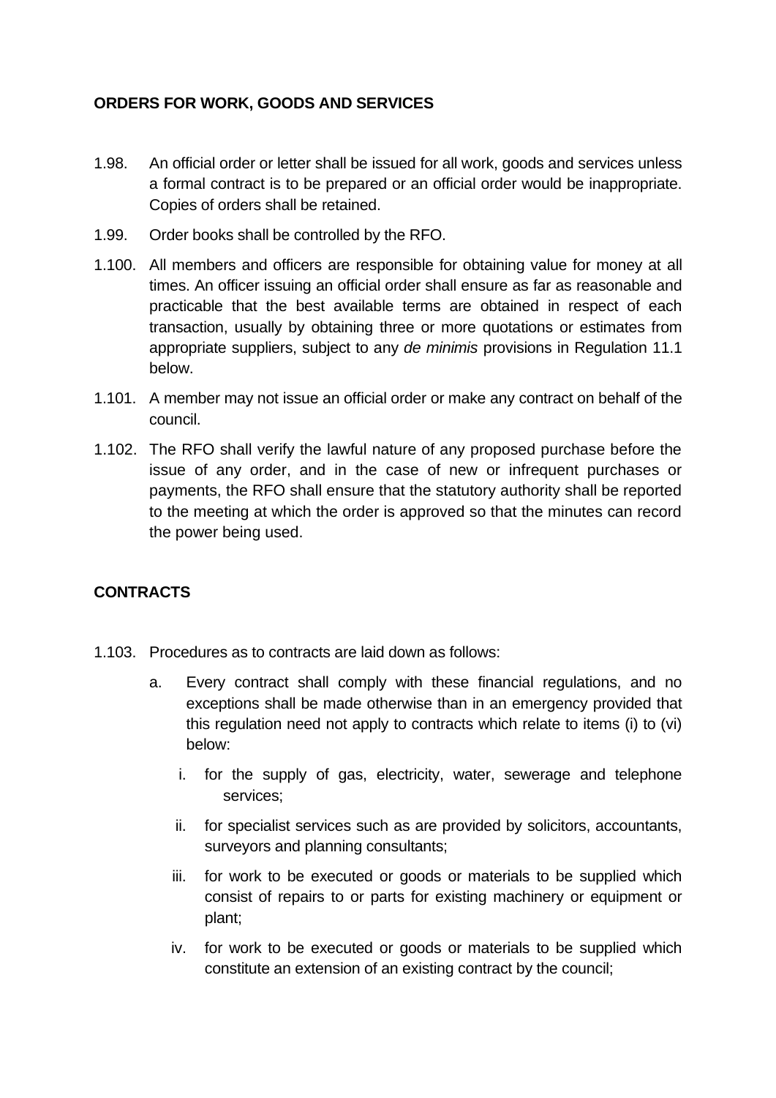#### <span id="page-14-0"></span>**ORDERS FOR WORK, GOODS AND SERVICES**

- 1.98. An official order or letter shall be issued for all work, goods and services unless a formal contract is to be prepared or an official order would be inappropriate. Copies of orders shall be retained.
- 1.99. Order books shall be controlled by the RFO.
- 1.100. All members and officers are responsible for obtaining value for money at all times. An officer issuing an official order shall ensure as far as reasonable and practicable that the best available terms are obtained in respect of each transaction, usually by obtaining three or more quotations or estimates from appropriate suppliers, subject to any *de minimis* provisions in Regulation 11.1 below.
- 1.101. A member may not issue an official order or make any contract on behalf of the council.
- 1.102. The RFO shall verify the lawful nature of any proposed purchase before the issue of any order, and in the case of new or infrequent purchases or payments, the RFO shall ensure that the statutory authority shall be reported to the meeting at which the order is approved so that the minutes can record the power being used.

# <span id="page-14-1"></span>**CONTRACTS**

- 1.103. Procedures as to contracts are laid down as follows:
	- a. Every contract shall comply with these financial regulations, and no exceptions shall be made otherwise than in an emergency provided that this regulation need not apply to contracts which relate to items (i) to (vi) below:
		- i. for the supply of gas, electricity, water, sewerage and telephone services;
		- ii. for specialist services such as are provided by solicitors, accountants, surveyors and planning consultants;
		- iii. for work to be executed or goods or materials to be supplied which consist of repairs to or parts for existing machinery or equipment or plant;
		- iv. for work to be executed or goods or materials to be supplied which constitute an extension of an existing contract by the council;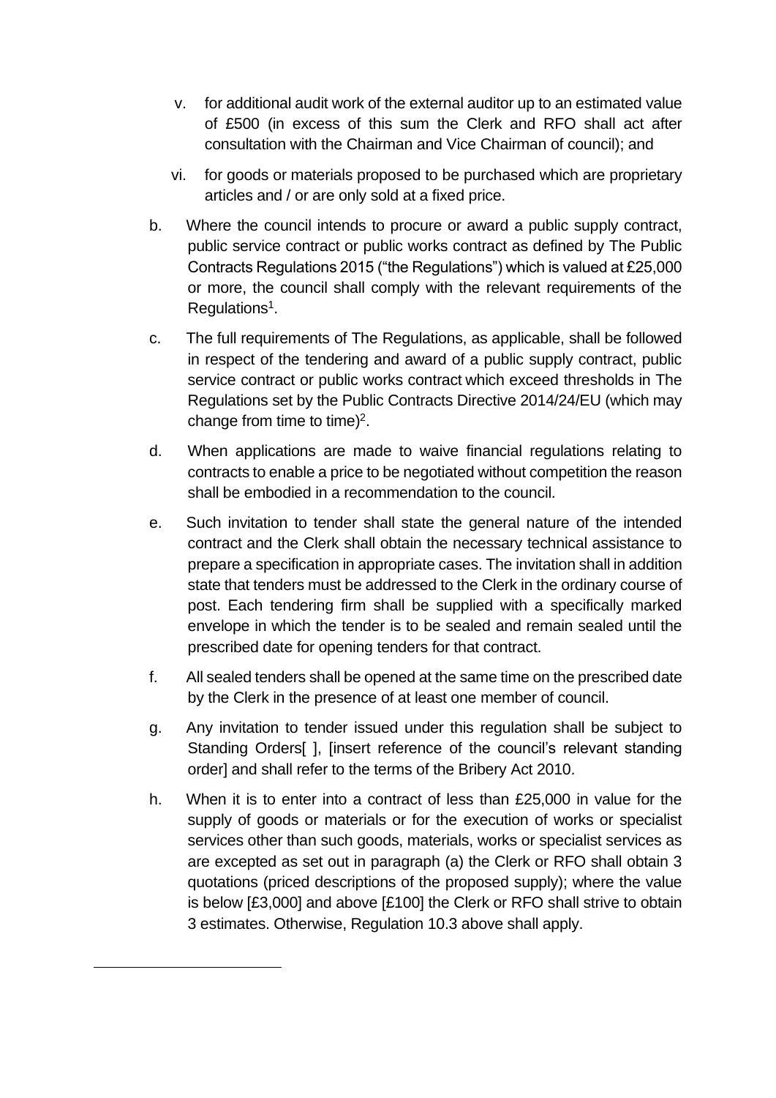- v. for additional audit work of the external auditor up to an estimated value of £500 (in excess of this sum the Clerk and RFO shall act after consultation with the Chairman and Vice Chairman of council); and
- vi. for goods or materials proposed to be purchased which are proprietary articles and / or are only sold at a fixed price.
- b. Where the council intends to procure or award a public supply contract, public service contract or public works contract as defined by The Public Contracts Regulations 2015 ("the Regulations") which is valued at £25,000 or more, the council shall comply with the relevant requirements of the Regulations<sup>1</sup>.
- c. The full requirements of The Regulations, as applicable, shall be followed in respect of the tendering and award of a public supply contract, public service contract or public works contract which exceed thresholds in The Regulations set by the Public Contracts Directive 2014/24/EU (which may change from time to time) $2$ .
- d. When applications are made to waive financial regulations relating to contracts to enable a price to be negotiated without competition the reason shall be embodied in a recommendation to the council.
- e. Such invitation to tender shall state the general nature of the intended contract and the Clerk shall obtain the necessary technical assistance to prepare a specification in appropriate cases. The invitation shall in addition state that tenders must be addressed to the Clerk in the ordinary course of post. Each tendering firm shall be supplied with a specifically marked envelope in which the tender is to be sealed and remain sealed until the prescribed date for opening tenders for that contract.
- f. All sealed tenders shall be opened at the same time on the prescribed date by the Clerk in the presence of at least one member of council.
- g. Any invitation to tender issued under this regulation shall be subject to Standing Orders[ ], [insert reference of the council's relevant standing order] and shall refer to the terms of the Bribery Act 2010.
- h. When it is to enter into a contract of less than £25,000 in value for the supply of goods or materials or for the execution of works or specialist services other than such goods, materials, works or specialist services as are excepted as set out in paragraph (a) the Clerk or RFO shall obtain 3 quotations (priced descriptions of the proposed supply); where the value is below [£3,000] and above [£100] the Clerk or RFO shall strive to obtain 3 estimates. Otherwise, Regulation 10.3 above shall apply.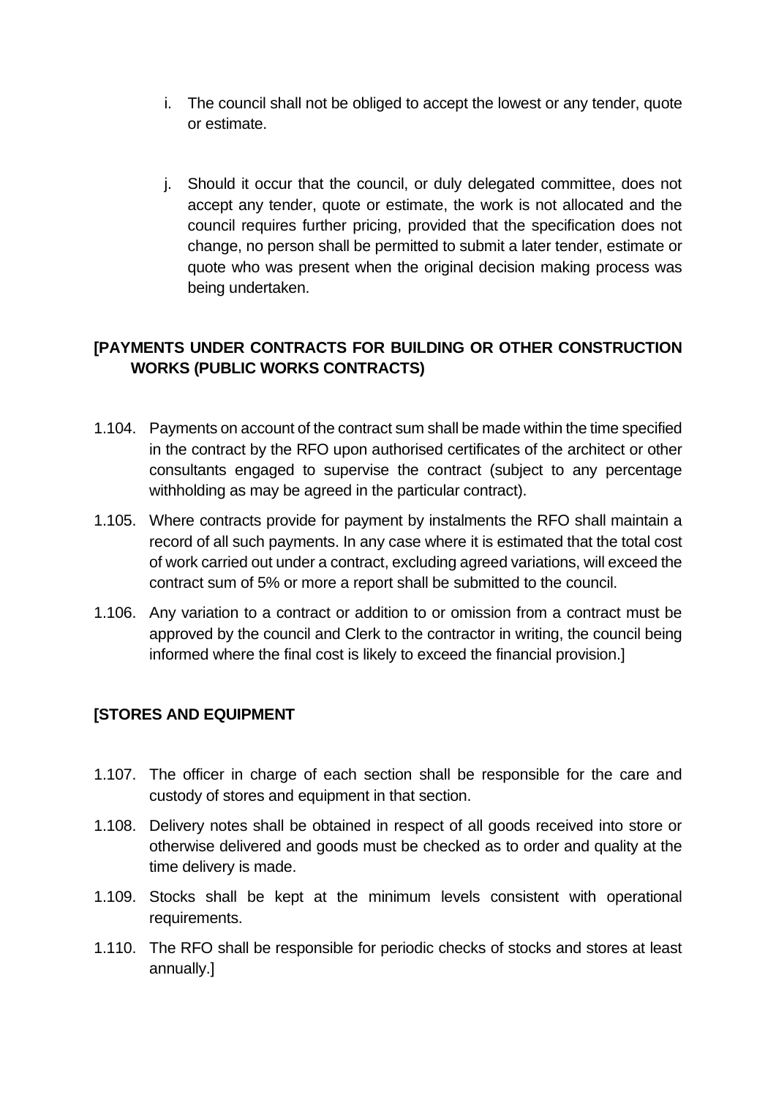- i. The council shall not be obliged to accept the lowest or any tender, quote or estimate.
- j. Should it occur that the council, or duly delegated committee, does not accept any tender, quote or estimate, the work is not allocated and the council requires further pricing, provided that the specification does not change, no person shall be permitted to submit a later tender, estimate or quote who was present when the original decision making process was being undertaken.

# <span id="page-16-0"></span>**[PAYMENTS UNDER CONTRACTS FOR BUILDING OR OTHER CONSTRUCTION WORKS (PUBLIC WORKS CONTRACTS)**

- 1.104. Payments on account of the contract sum shall be made within the time specified in the contract by the RFO upon authorised certificates of the architect or other consultants engaged to supervise the contract (subject to any percentage withholding as may be agreed in the particular contract).
- 1.105. Where contracts provide for payment by instalments the RFO shall maintain a record of all such payments. In any case where it is estimated that the total cost of work carried out under a contract, excluding agreed variations, will exceed the contract sum of 5% or more a report shall be submitted to the council.
- 1.106. Any variation to a contract or addition to or omission from a contract must be approved by the council and Clerk to the contractor in writing, the council being informed where the final cost is likely to exceed the financial provision.]

# <span id="page-16-1"></span>**[STORES AND EQUIPMENT**

- 1.107. The officer in charge of each section shall be responsible for the care and custody of stores and equipment in that section.
- 1.108. Delivery notes shall be obtained in respect of all goods received into store or otherwise delivered and goods must be checked as to order and quality at the time delivery is made.
- 1.109. Stocks shall be kept at the minimum levels consistent with operational requirements.
- 1.110. The RFO shall be responsible for periodic checks of stocks and stores at least annually.]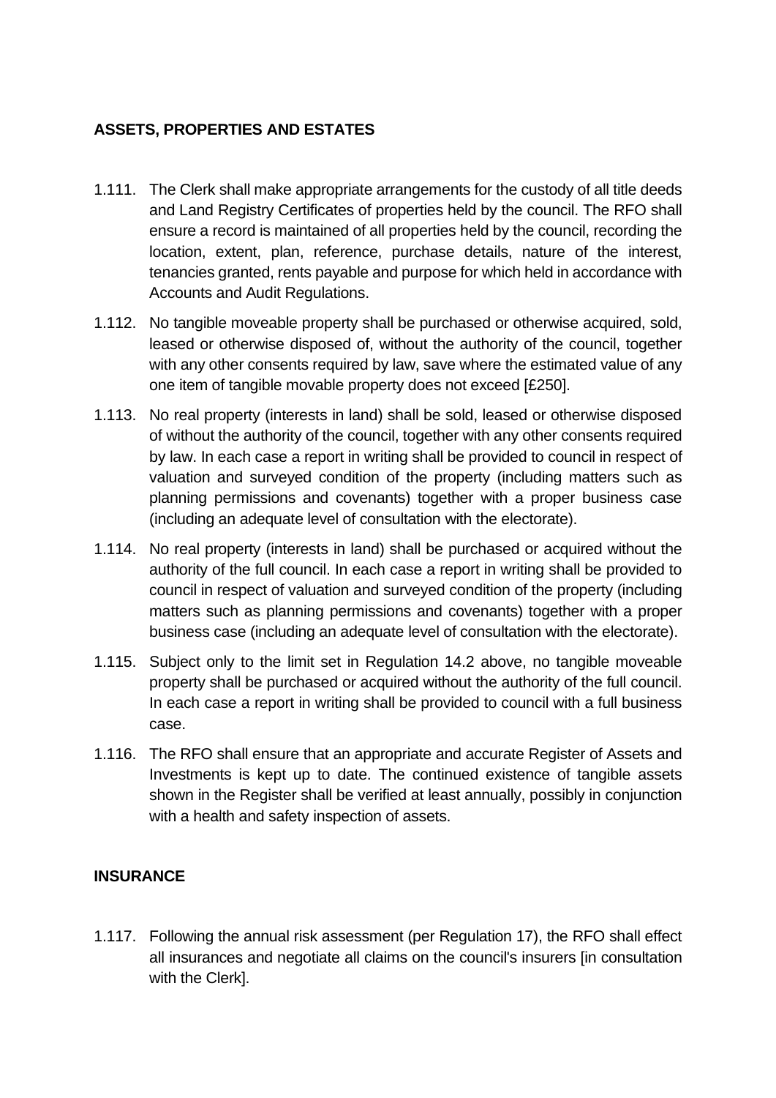# <span id="page-17-0"></span>**ASSETS, PROPERTIES AND ESTATES**

- 1.111. The Clerk shall make appropriate arrangements for the custody of all title deeds and Land Registry Certificates of properties held by the council. The RFO shall ensure a record is maintained of all properties held by the council, recording the location, extent, plan, reference, purchase details, nature of the interest, tenancies granted, rents payable and purpose for which held in accordance with Accounts and Audit Regulations.
- 1.112. No tangible moveable property shall be purchased or otherwise acquired, sold, leased or otherwise disposed of, without the authority of the council, together with any other consents required by law, save where the estimated value of any one item of tangible movable property does not exceed [£250].
- 1.113. No real property (interests in land) shall be sold, leased or otherwise disposed of without the authority of the council, together with any other consents required by law. In each case a report in writing shall be provided to council in respect of valuation and surveyed condition of the property (including matters such as planning permissions and covenants) together with a proper business case (including an adequate level of consultation with the electorate).
- 1.114. No real property (interests in land) shall be purchased or acquired without the authority of the full council. In each case a report in writing shall be provided to council in respect of valuation and surveyed condition of the property (including matters such as planning permissions and covenants) together with a proper business case (including an adequate level of consultation with the electorate).
- 1.115. Subject only to the limit set in Regulation 14.2 above, no tangible moveable property shall be purchased or acquired without the authority of the full council. In each case a report in writing shall be provided to council with a full business case.
- 1.116. The RFO shall ensure that an appropriate and accurate Register of Assets and Investments is kept up to date. The continued existence of tangible assets shown in the Register shall be verified at least annually, possibly in conjunction with a health and safety inspection of assets.

#### <span id="page-17-1"></span>**INSURANCE**

1.117. Following the annual risk assessment (per Regulation 17), the RFO shall effect all insurances and negotiate all claims on the council's insurers [in consultation with the Clerk].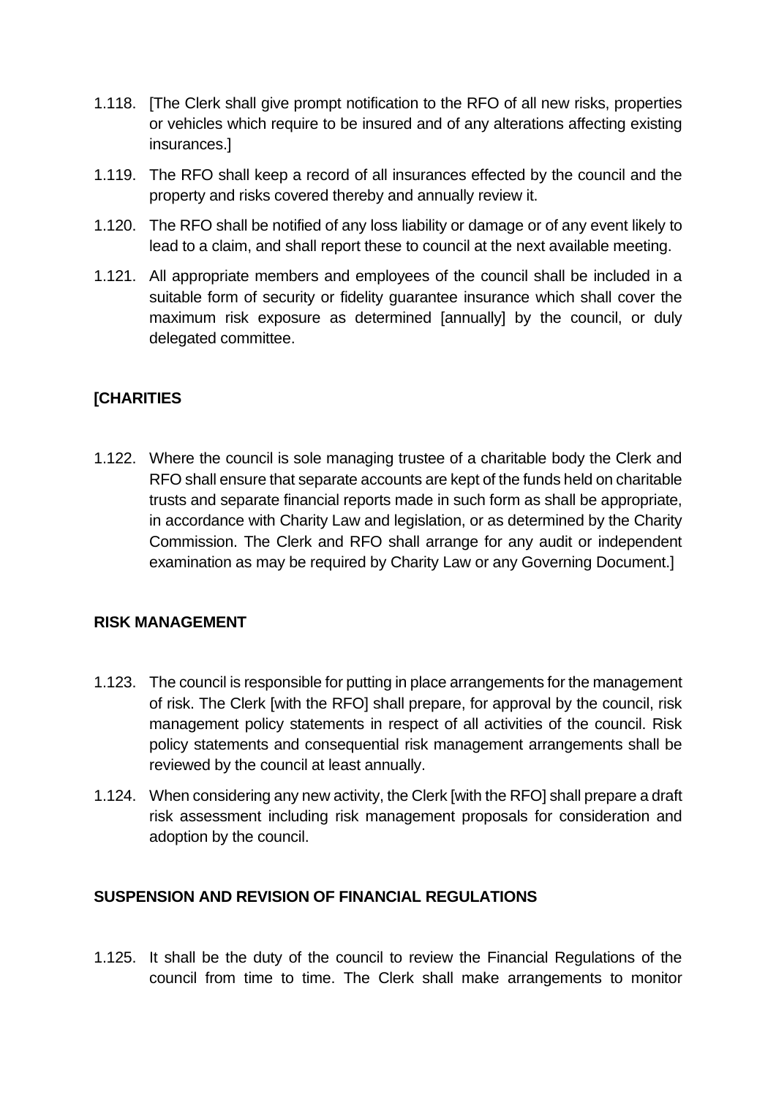- 1.118. [The Clerk shall give prompt notification to the RFO of all new risks, properties or vehicles which require to be insured and of any alterations affecting existing insurances.]
- 1.119. The RFO shall keep a record of all insurances effected by the council and the property and risks covered thereby and annually review it.
- 1.120. The RFO shall be notified of any loss liability or damage or of any event likely to lead to a claim, and shall report these to council at the next available meeting.
- 1.121. All appropriate members and employees of the council shall be included in a suitable form of security or fidelity guarantee insurance which shall cover the maximum risk exposure as determined [annually] by the council, or duly delegated committee.

# <span id="page-18-0"></span>**[CHARITIES**

1.122. Where the council is sole managing trustee of a charitable body the Clerk and RFO shall ensure that separate accounts are kept of the funds held on charitable trusts and separate financial reports made in such form as shall be appropriate, in accordance with Charity Law and legislation, or as determined by the Charity Commission. The Clerk and RFO shall arrange for any audit or independent examination as may be required by Charity Law or any Governing Document.]

#### <span id="page-18-1"></span>**RISK MANAGEMENT**

- 1.123. The council is responsible for putting in place arrangements for the management of risk. The Clerk [with the RFO] shall prepare, for approval by the council, risk management policy statements in respect of all activities of the council. Risk policy statements and consequential risk management arrangements shall be reviewed by the council at least annually.
- 1.124. When considering any new activity, the Clerk [with the RFO] shall prepare a draft risk assessment including risk management proposals for consideration and adoption by the council.

#### <span id="page-18-2"></span>**SUSPENSION AND REVISION OF FINANCIAL REGULATIONS**

1.125. It shall be the duty of the council to review the Financial Regulations of the council from time to time. The Clerk shall make arrangements to monitor